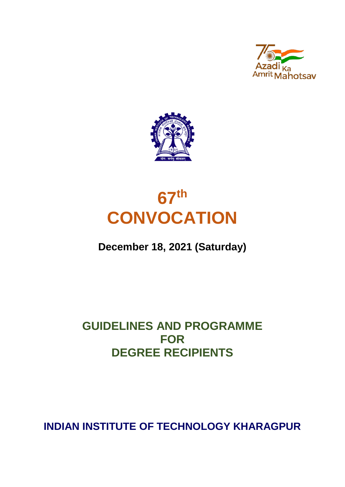





# **December 18, 2021 (Saturday)**

# **GUIDELINES AND PROGRAMME FOR DEGREE RECIPIENTS**

**INDIAN INSTITUTE OF TECHNOLOGY KHARAGPUR**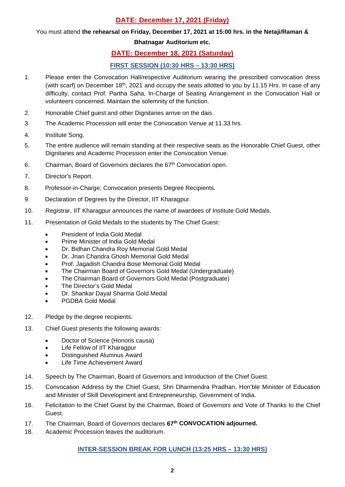# **DATE: December 17, 2021 (Friday)**

### You must attend **the rehearsal on Friday, December 17, 2021 at 15:00 hrs. in the Netaji/Raman &**

## **Bhatnagar Auditorium etc.**

## **DATE: December 18, 2021 (Saturday)**

## **FIRST SESSION (10:30 HRS – 13:30 HRS)**

- 1. Please enter the Convocation Hall/respective Auditorium wearing the prescribed convocation dress (with scarf) on December 18<sup>th</sup>, 2021 and occupy the seats allotted to you by 11.15 Hrs. In case of any difficulty, contact Prof. Partha Saha, In-Charge of Seating Arrangement in the Convocation Hall or volunteers concerned. Maintain the solemnity of the function.
- 2. Honorable Chief guest and other Dignitaries arrive on the dais.
- 3. The Academic Procession will enter the Convocation Venue at 11.33 hrs.
- 4. Institute Song.
- 5. The entire audience will remain standing at their respective seats as the Honorable Chief Guest, other Dignitaries and Academic Procession enter the Convocation Venue.
- 6. Chairman, Board of Governors declares the 67<sup>th</sup> Convocation open.
- 7. Director's Report.
- 8. Professor-in-Charge, Convocation presents Degree Recipients.
- 9. Declaration of Degrees by the Director, IIT Kharagpur.
- 10. Registrar, IIT Kharagpur announces the name of awardees of Institute Gold Medals.
- 11. Presentation of Gold Medals to the students by The Chief Guest:
	- President of India Gold Medal
	- Prime Minister of India Gold Medal
	- Dr. Bidhan Chandra Roy Memorial Gold Medal
	- Dr. Jnan Chandra Ghosh Memorial Gold Medal
	- Prof. Jagadish Chandra Bose Memorial Gold Medal
	- The Chairman Board of Governors Gold Medal (Undergraduate)
	- The Chairman Board of Governors Gold Medal (Postgraduate)
	- The Director's Gold Medal
	- Dr. Shankar Dayal Sharma Gold Medal
	- PGDBA Gold Medal
- 12. Pledge by the degree recipients.
- 13. Chief Guest presents the following awards:
	- Doctor of Science (Honoris causa)
	- Life Fellow of IIT Kharagpur
	- Distinguished Alumnus Award
	- Life Time Achievement Award
- 14. Speech by The Chairman, Board of Governors and Introduction of the Chief Guest.
- 15. Convocation Address by the Chief Guest, Shri Dharmendra Pradhan, Hon'ble Minister of Education and Minister of Skill Development and Entrepreneurship, Government of India.
- 16. Felicitation to the Chief Guest by the Chairman, Board of Governors and Vote of Thanks to the Chief Guest.
- 17. The Chairman, Board of Governors declares **67th CONVOCATION adjourned.**
- 18. Academic Procession leaves the auditorium.

## **INTER-SESSION BREAK FOR LUNCH (13:25 HRS – 13:30 HRS)**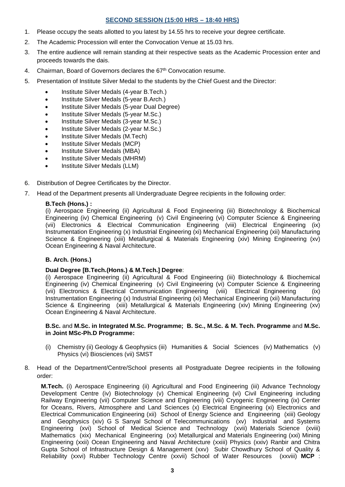### **SECOND SESSION (15:00 HRS – 18:40 HRS)**

- 1. Please occupy the seats allotted to you latest by 14.55 hrs to receive your degree certificate.
- 2. The Academic Procession will enter the Convocation Venue at 15.03 hrs.
- 3. The entire audience will remain standing at their respective seats as the Academic Procession enter and proceeds towards the dais.
- 4. Chairman, Board of Governors declares the  $67<sup>th</sup>$  Convocation resume.
- 5. Presentation of Institute Silver Medal to the students by the Chief Guest and the Director:
	- Institute Silver Medals (4-year B.Tech.)
	- Institute Silver Medals (5-year B.Arch.)
	- Institute Silver Medals (5-year Dual Degree)
	- Institute Silver Medals (5-year M.Sc.)
	- Institute Silver Medals (3-year M.Sc.)
	- Institute Silver Medals (2-year M.Sc.)
	- Institute Silver Medals (M.Tech)
	- Institute Silver Medals (MCP)
	- Institute Silver Medals (MBA)
	- Institute Silver Medals (MHRM)
	- Institute Silver Medals (LLM)
- 6. Distribution of Degree Certificates by the Director.
- 7. Head of the Department presents all Undergraduate Degree recipients in the following order:

#### **B.Tech (Hons.) :**

(i) Aerospace Engineering (ii) Agricultural & Food Engineering (iii) Biotechnology & Biochemical Engineering (iv) Chemical Engineering (v) Civil Engineering (vi) Computer Science & Engineering (vii) Electronics & Electrical Communication Engineering (viii) Electrical Engineering (ix) Instrumentation Engineering (x) Industrial Engineering (xi) Mechanical Engineering (xii) Manufacturing Science & Engineering (xiii) Metallurgical & Materials Engineering (xiv) Mining Engineering (xv) Ocean Engineering & Naval Architecture.

#### **B. Arch. (Hons.)**

#### **Dual Degree [B.Tech.(Hons.) & M.Tech.] Degree**:

(i) Aerospace Engineering (ii) Agricultural & Food Engineering (iii) Biotechnology & Biochemical Engineering (iv) Chemical Engineering (v) Civil Engineering (vi) Computer Science & Engineering (vii) Electronics & Electrical Communication Engineering (viii) Electrical Engineering (ix) (vii) Electronics & Electrical Communication Engineering (viii) Electrical Engineering Instrumentation Engineering (x) Industrial Engineering (xi) Mechanical Engineering (xii) Manufacturing Science & Engineering (xiii) Metallurgical & Materials Engineering (xiv) Mining Engineering (xv) Ocean Engineering & Naval Architecture.

#### **B.Sc.** and **M.Sc. in Integrated M.Sc. Programme; B. Sc., M.Sc. & M. Tech. Programme** and **M.Sc. in Joint MSc-Ph.D Programme:**

- (i) Chemistry (ii) Geology & Geophysics (iii) Humanities & Social Sciences (iv) Mathematics (v) Physics (vi) Biosciences (vii) SMST
- 8. Head of the Department/Centre/School presents all Postgraduate Degree recipients in the following order:

**M.Tech.** (i) Aerospace Engineering (ii) Agricultural and Food Engineering (iii) Advance Technology Development Centre (iv) Biotechnology (v) Chemical Engineering (vi) Civil Engineering including Railway Engineering (vii) Computer Science and Engineering (viii) Cryogenic Engineering (ix) Center for Oceans, Rivers, Atmosphere and Land Sciences (x) Electrical Engineering (xi) Electronics and Electrical Communication Engineering (xii) School of Energy Science and Engineering (xiii) Geology and Geophysics (xiv) G S Sanyal School of Telecommunications (xv) Industrial and Systems Engineering (xvi) School of Medical Science and Technology (xvii) Materials Science (xviii) Mathematics (xix) Mechanical Engineering (xx) Metallurgical and Materials Engineering (xxi) Mining Engineering (xxii) Ocean Engineering and Naval Architecture (xxiii) Physics (xxiv) Ranbir and Chitra Gupta School of Infrastructure Design & Management (xxv) Subir Chowdhury School of Quality & Reliability (xxvi) Rubber Technology Centre (xxvii) School of Water Resources (xxviii) **MCP** :